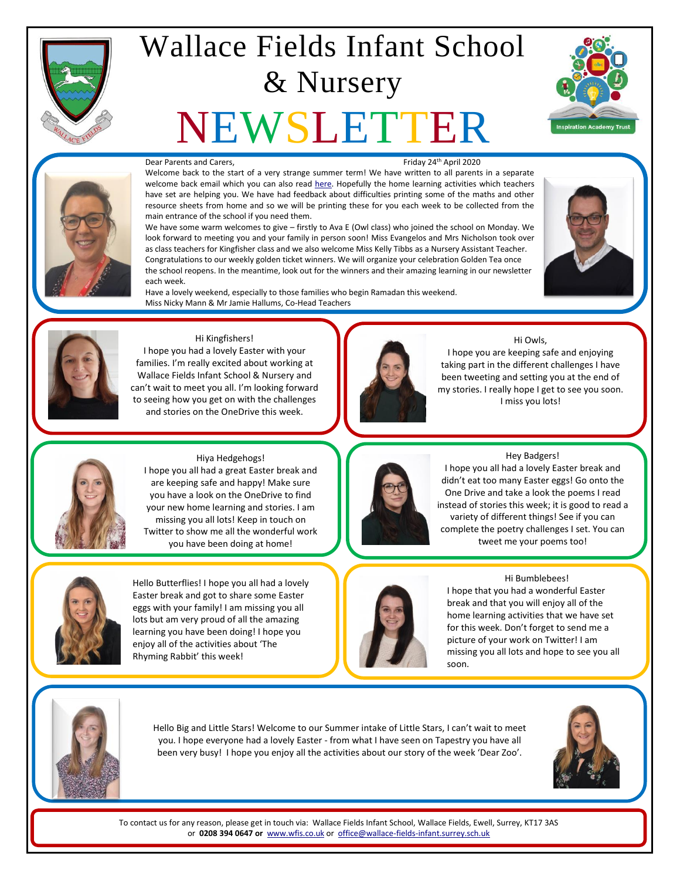

# Wallace Fields Infant School & Nursery

# NEWSLETTER





#### Dear Parents and Carers. The contract of the contract of the Friday 24<sup>th</sup> April 2020

Welcome back to the start of a very strange summer term! We have written to all parents in a separate welcome back email which you can also rea[d here.](http://fluencycontent2-schoolwebsite.netdna-ssl.com/FileCluster/WallaceFields/MainFolder/documents/Newsletters/Attachments-2019-20/240420/Summer-Term-Welcome-back.pdf) Hopefully the home learning activities which teachers have set are helping you. We have had feedback about difficulties printing some of the maths and other resource sheets from home and so we will be printing these for you each week to be collected from the main entrance of the school if you need them.

We have some warm welcomes to give – firstly to Ava E (Owl class) who joined the school on Monday. We look forward to meeting you and your family in person soon! Miss Evangelos and Mrs Nicholson took over as class teachers for Kingfisher class and we also welcome Miss Kelly Tibbs as a Nursery Assistant Teacher. Congratulations to our weekly golden ticket winners. We will organize your celebration Golden Tea once the school reopens. In the meantime, look out for the winners and their amazing learning in our newsletter each week.

Have a lovely weekend, especially to those families who begin Ramadan this weekend. Miss Nicky Mann & Mr Jamie Hallums, Co-Head Teachers





#### Hi Kingfishers!

I hope you had a lovely Easter with your families. I'm really excited about working at Wallace Fields Infant School & Nursery and can't wait to meet you all. I'm looking forward to seeing how you get on with the challenges and stories on the OneDrive this week.



#### Hi Owls,

I hope you are keeping safe and enjoying taking part in the different challenges I have been tweeting and setting you at the end of my stories. I really hope I get to see you soon. I miss you lots!



Hiya Hedgehogs! I hope you all had a great Easter break and are keeping safe and happy! Make sure you have a look on the OneDrive to find your new home learning and stories. I am missing you all lots! Keep in touch on Twitter to show me all the wonderful work you have been doing at home!



Hello Butterflies! I hope you all had a lovely Easter break and got to share some Easter eggs with your family! I am missing you all lots but am very proud of all the amazing learning you have been doing! I hope you enjoy all of the activities about 'The Rhyming Rabbit' this week!



#### Hey Badgers!

I hope you all had a lovely Easter break and didn't eat too many Easter eggs! Go onto the One Drive and take a look the poems I read instead of stories this week; it is good to read a variety of different things! See if you can complete the poetry challenges I set. You can tweet me your poems too!



#### Hi Bumblebees!

I hope that you had a wonderful Easter break and that you will enjoy all of the home learning activities that we have set for this week. Don't forget to send me a picture of your work on Twitter! I am missing you all lots and hope to see you all soon.



Hello Big and Little Stars! Welcome to our Summer intake of Little Stars, I can't wait to meet you. I hope everyone had a lovely Easter - from what I have seen on Tapestry you have all been very busy! I hope you enjoy all the activities about our story of the week 'Dear Zoo'.



To contact us for any reason, please get in touch via: Wallace Fields Infant School, Wallace Fields, Ewell, Surrey, KT17 3AS or **0208 394 0647 or** [www.wfis.co.uk](http://www.wfis.co.uk/) or [office@wallace-fields-infant.surrey.sch.uk](mailto:office@wallace-fields-infant.surrey.sch.uk)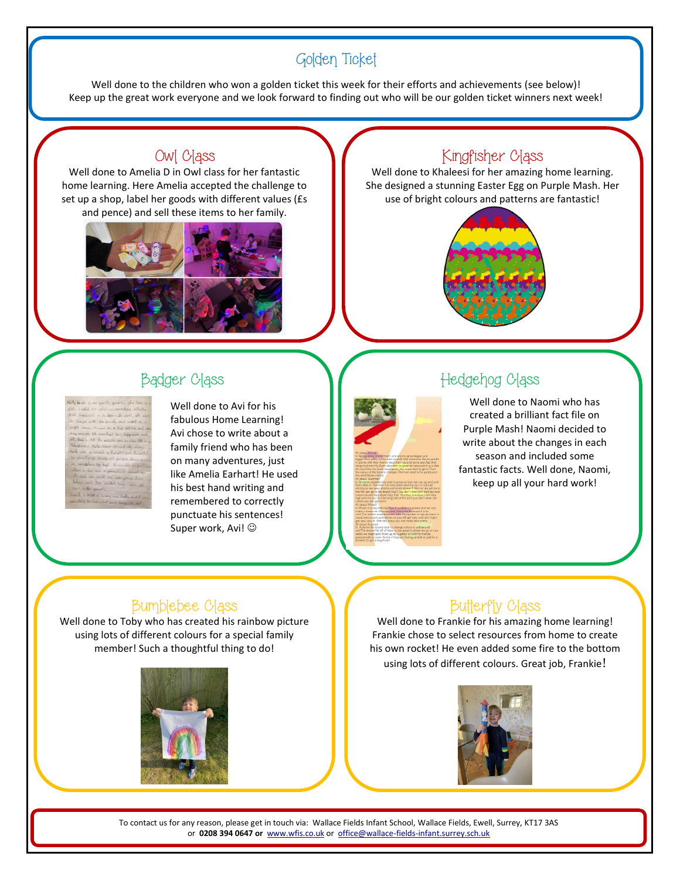# Golden Ticket

Well done to the children who won a golden ticket this week for their efforts and achievements (see below)! Keep up the great work everyone and we look forward to finding out who will be our golden ticket winners next week!

# Owl Class

Well done to Amelia D in Owl class for her fantastic home learning. Here Amelia accepted the challenge to set up a shop, label her goods with different values (£s and pence) and sell these items to her family.



# Kingfisher Class

Well done to Khaleesi for her amazing home learning. She designed a stunning Easter Egg on Purple Mash. Her use of bright colours and patterns are fantastic!



| Artylinde is no such grant, the last as                                  |
|--------------------------------------------------------------------------|
| All field to additionately while                                         |
| and biggind in he legs- the suit, the wast                               |
| be known to be such and wat on a                                         |
| Just sam the to a by which and see                                       |
| may actually like mentions for chappens and                              |
| all have all the monde saw seeds like a                                  |
| the spice of right copies strend sky dany                                |
| And into a search of height for the central                              |
| be challenge health and for fail shows are                               |
| are interplace by Engl. the seconds be publicly                          |
| above - los and or ground the squad up                                   |
| sto and the soul we was allowed that<br>below and by Locket Long-Sep-20. |
| our life sport                                                           |
| hands I will as a very rice hidly and it sent.                           |
| are les le bis side des tracts de di                                     |
|                                                                          |

Well done to Avi for his fabulous Home Learning! Avi chose to write about a family friend who has been on many adventures, just like Amelia Earhart! He used his best hand writing and remembered to correctly punctuate his sentences! Super work, Avi!  $\odot$ 



# Badger Class Mathematic Mathematic Hedgehog Class

Well done to Naomi who has created a brilliant fact file on Purple Mash! Naomi decided to write about the changes in each season and included some fantastic facts. Well done, Naomi, keep up all your hard work!

### Bumblebee Class

Well done to Toby who has created his rainbow picture using lots of different colours for a special family member! Such a thoughtful thing to do!



# Butterfly Class

Well done to Frankie for his amazing home learning! Frankie chose to select resources from home to create his own rocket! He even added some fire to the bottom using lots of different colours. Great job, Frankie!



To contact us for any reason, please get in touch via: Wallace Fields Infant School, Wallace Fields, Ewell, Surrey, KT17 3AS or **0208 394 0647 or** [www.wfis.co.uk](http://www.wfis.co.uk/) or [office@wallace-fields-infant.surrey.sch.uk](mailto:office@wallace-fields-infant.surrey.sch.uk)